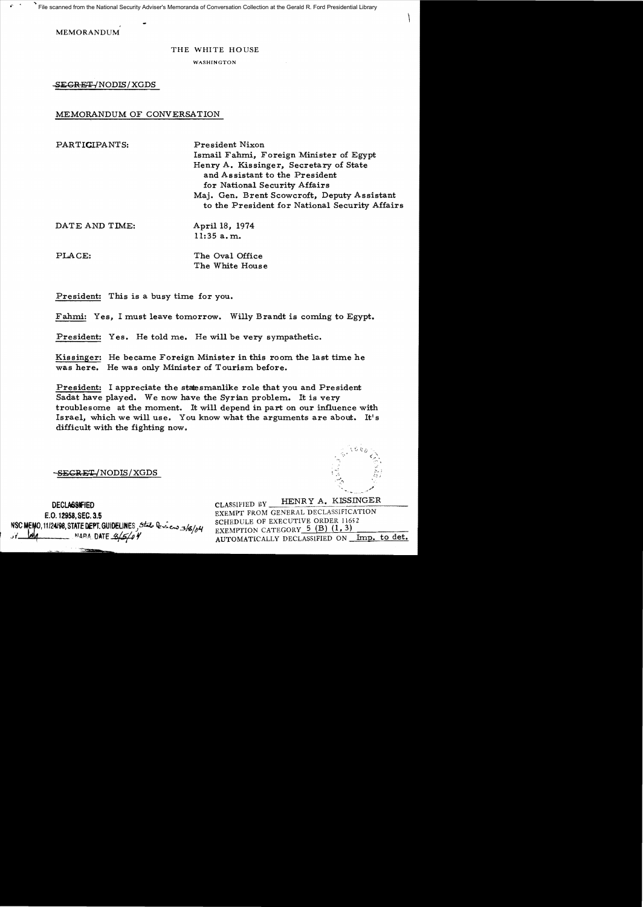File scanned from the National Security Adviser's Memoranda of Conversation Collection at the Gerald R. Ford Presidential Library

**MEMORANDUM** 

#### THE WHITE HOUSE

WASHINGTON

SEGRET/NODIS/XGDS

### MEMORANDUM OF CONVERSATION

PARTICIPANTS: **President Nixon** Ismail Fahmi, Foreign Minister of Egypt Henry A. Kissinger, Secretary of State and Assistant to the President for National Security Affairs Maj. Gen. Brent Scowcroft, Deputy Assistant to the President for National Security Affairs

| DATE AND TIME: | April 18, 1974 |
|----------------|----------------|
|                | 11:35 a.m.     |
|                |                |

| PLACE: | The Oval Office |
|--------|-----------------|
|        | The White House |

President: This is a busy time for you.

Fahmi: Yes, I must leave tomorrow. Willy Brandt is coming to Egypt.

President: Yes. He told me. He will be very sympathetic.

Kissinger: He became Foreign Minister in this room the last time he was here. He was only Minister of Tourism before.

President: I appreciate the statesmanlike role that you and President Sadat have played. We now have the Syrian problem. It is very troublesome at the moment. It will depend in part on our influence with Israel, which we will use. You know what the arguments are about. It's difficult with the fighting now.

<del>-SECRET/</del>NODIS/XGDS

## **DECLASSIFIED**

E.O. 12958, SEC. 3.5 NSC MEMO, 11/24/98, STATE DEPT. GUIDELINES , State Deview 3/8/04 MARA DATE  $\frac{4}{50}$ 

HENRY A. KISSINGER CLASSIFIED BY EXEMPT FROM GENERAL DECLASSIFICATION SCHEDULE OF EXECUTIVE ORDER 11652 EXEMPTION CATEGORY 5 (B) (1, 3) AUTOMATICALLY DECLASSIFIED ON Imp. to det.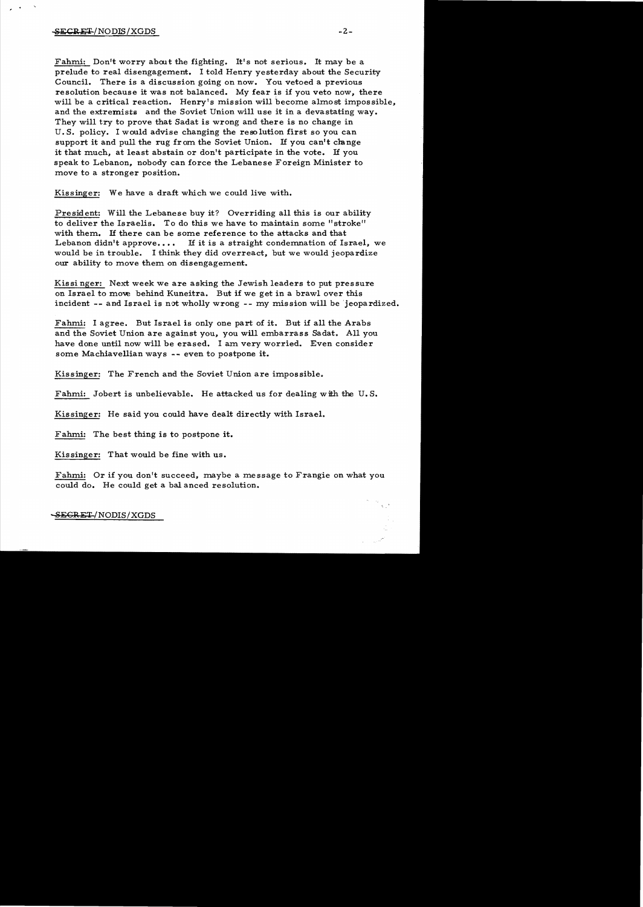Fahmi: Don't worry about the fighting. It's not serious. It may be a prelude to real disengagement. I told Henry yesterday about the Security Council. There is a discussion going on now. You vetoed a previous resolution because it was not balanced. My fear is if you veto now, there will be a critical reaction. Henry's mission will become almost impossible, and the extremists and the Soviet Union will use it in a devastating way. They will try to prove that Sadat is wrong and there is no change in U. S. policy. I would advise changing the reso lution first so you can support it and pull the rug from the Soviet Union. If you can't change it that much, at least abstain or don't participate in the vote. If you speak to Lebanon, nobody can force the Lebanese Foreign Minister to move to a stronger position.

Kissinger: We have a draft which we could live with.

President: Will the Lebanese buy it? Overriding all this is our ability to deliver the Israelis. To do this we have to maintain some" stroke" with them. If there can be some reference to the attacks and that Lebanon didn't approve.... If it is a straight condemnation of Israel, we would be in trouble. I think they did overreact, but we would jeopardize our ability to move them on disengagement.

Kissi nger: Next week we are asking the Jewish leaders to put pressure on Israel to move behind Kuneitra. But if we get in a brawl over this incident  $--$  and Israel is not wholly wrong  $--$  my mission will be jeopardized.

Fahmi: I agree. But Israel is only one part of it. But if all the Arabs and the Soviet Union are against you, you will embarrass Sadat. All you have done until now will be erased. I am very worried. Even consider some Machiavellian ways -- even to postpone it.

Kissinger: The French and the Soviet Union are impossible.

Fahmi: Jobert is unbelievable. He attacked us for dealing with the U.S.

Kissinger: He said you could have dealt directly with Israel.

Fahmi: The best thing is to postpone it.

Kissinger: That would be fine with us.

Fahmi: Or if you don't succeed, maybe a message to Frangie on what you could do. He could get a bal anced resolution.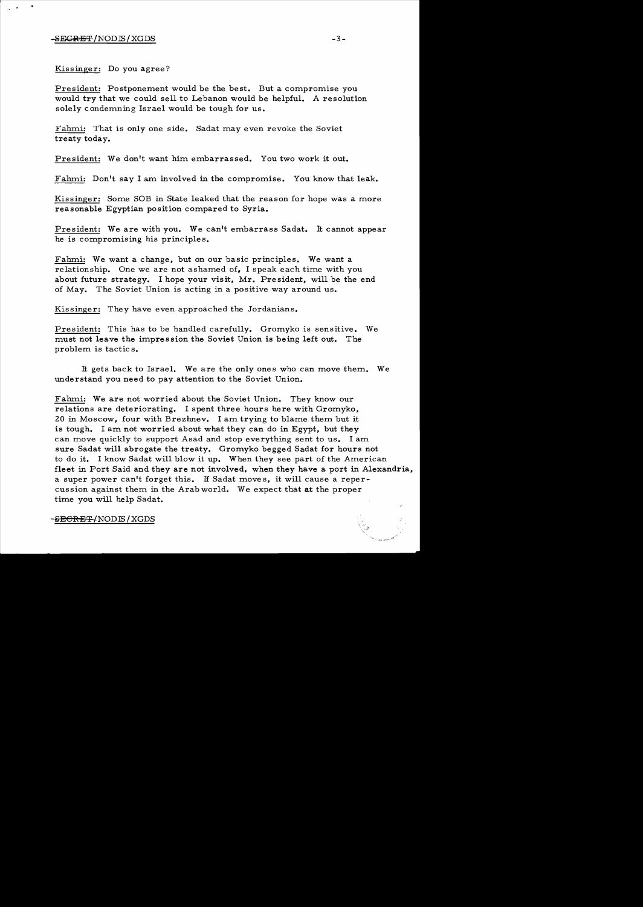#### -SECRET !NODIS/XGDS -3

Kissinger: Do you agree?

President: Postponement would be the best. But a compromise you would try that we could sell to Lebanon would be helpful. A resolution solely condemning Israel would be tough for us.

Fahmi: That is only one side. Sadat may even revoke the Soviet treaty today.

President: We don't want him embarrassed. You two work it out.

Fahmi: Don't say I am involved in the compromise. You know that leak.

Kissinger: Some SOB in State leaked that the reason for hope was a more reasonable Egyptian position compared to Syria.

President: We are with you. We can't embarrass Sadat. It cannot appear he is compromising his principles.

Fahmi: We want a change, but on our basic principles. We want a relationship. One we are not ashamed of, I speak each time with you about future strategy. I hope your visit, Mr. President, will be the end of May. The Soviet Union is acting in a positive way around us.

Kissinger: They have even approached the Jordanians.

President: This has to be handled carefully. Gromyko is sensitive. We must not leave the impression the Soviet Union is being left out. The problem is tactics.

It gets back to Israel. We are the only ones who can move them. We understand you need to pay attention to the Soviet Union.

Fahmi: We are not worried about the Soviet Union. They know our relations are deteriorating. I spent three hours here with Gromyko, 20 in Moscow, four with Brezhnev. I am trying to blame them but it is tough. I am not worried about what they can do in Egypt, but they can move quickly to support Asad and stop everything sent to us. I am sure Sadat will abrogate the treaty. Gromyko begged Sadat for hours not to do it. I know Sadat will blow it up. When they see part of the American fleet in Port Said and they are not involved, when they have a port in Alexandria, a super power can't forget this. If Sadat moves, it will cause a repercussion against them in the Arab world. We expect that at the proper time you will help Sadat.

§BGRET/NODIS/XGDS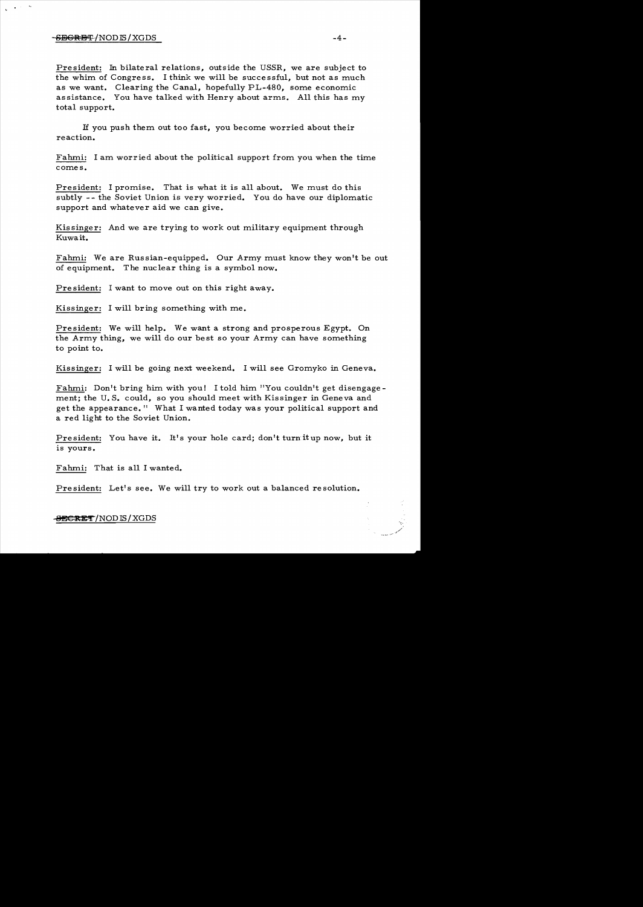#### $-$ <del>SECRET</del>/NOD IS/XGDS  $-4-$

President: In bilateral relations, outside the USSR, we are subject to the whim of Congress. I think we will be successful, but not as much as we want. Clearing the Canal, hopefully PL-480, some economic assistance. You have talked with Henry about arms. All this has my total support.

If you push them out too fast, you become worried about their reaction.

Fahmi: I am worried about the political support from you when the time comes.

President: I promise. That is what it is all about. We must do this subtly -- the Soviet Union is very worried. You do have our diplomatic support and whatever aid we can give.

Kissinger: And we are trying to work out military equipment through Kuwait.

Fahmi: We are Russian-equipped. Our Army must know they won't be out of equipment. The nuclear thing is a symbol now.

Pre sident: I want to move out on this right away.

Kissinger: I will bring something with me.

President: We will help. We want a strong and prosperous Egypt. On the Army thing, we will do our best so your Army can have something to point to.

Kissinger: I will be going next weekend. I will see Gromyko in Geneva.

Fahmi: Don't bring him with you! I told him. "You couldn't get disengagement; the U.S. could, so you should meet with Kissinger in Geneva and get the appearance." What I wanted today was your political support and a red light to the Soviet Union.

President: You have it. It's your hole card; don't turn it up now, but it is yours.

Fahmi: That is all I wanted.

President: Let's see. We will try to work out a balanced resolution.

#### $-$ OECRET/NODIS/XGDS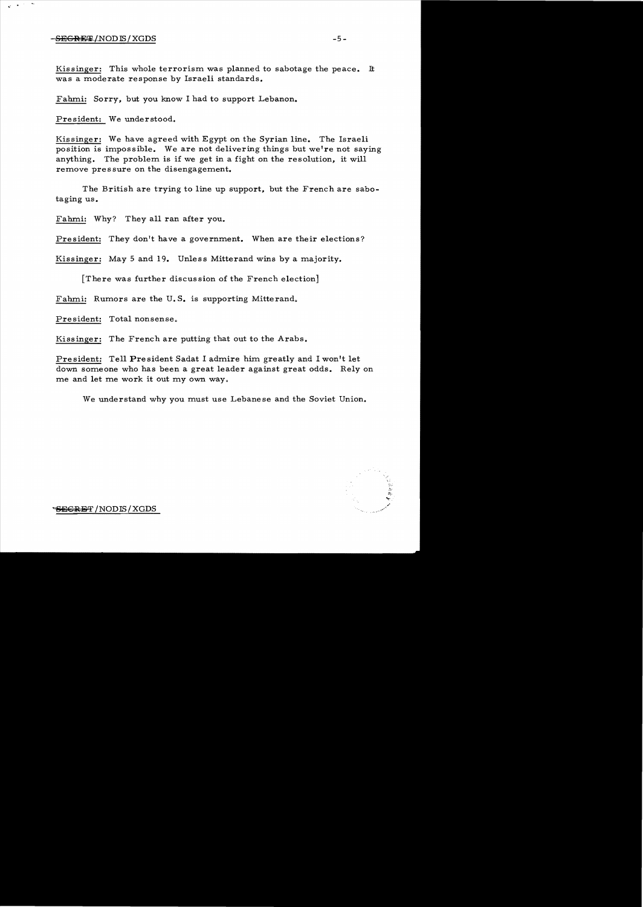#### SEGRE!¥ *INOD* 15! XGDS -5

 $\bullet$ 

 $\ddot{\phantom{1}}$ 

Kissinger: This whole terrorism was planned to sabotage the peace. It was a moderate response by Israeli standards.

Fahmi: Sorry, but you know I had to support Lebanon.

President: We understood.

Kissinger: We have agreed with Egypt on the Syrian line. The Israeli position is impossible. We are not delivering things but we're not saying anything. The problem is if we get in a fight on the resolution, it will remove pressure on the disengagement.

The British are trying to line up support, but the French are sabotaging us.

Fahmi: Why? They all ran after you.

President: They don't have a government. When are their elections?

Kissinger: May 5 and 19. Unless Mitterand wins by a majority.

[There was further discussion of the French election]

Fahmi: Rumors are the U. **S.** is supporting Mitterand.

President: Total nonsense.

Kissinger: The French are putting that out to the Arabs.

President: Tell President Sadat I admire him greatly and I won't let down someone who has been a great leader against great odds. Rely on me and let me work it out my own way.

We understand why you must use Lebanese and the Soviet Union.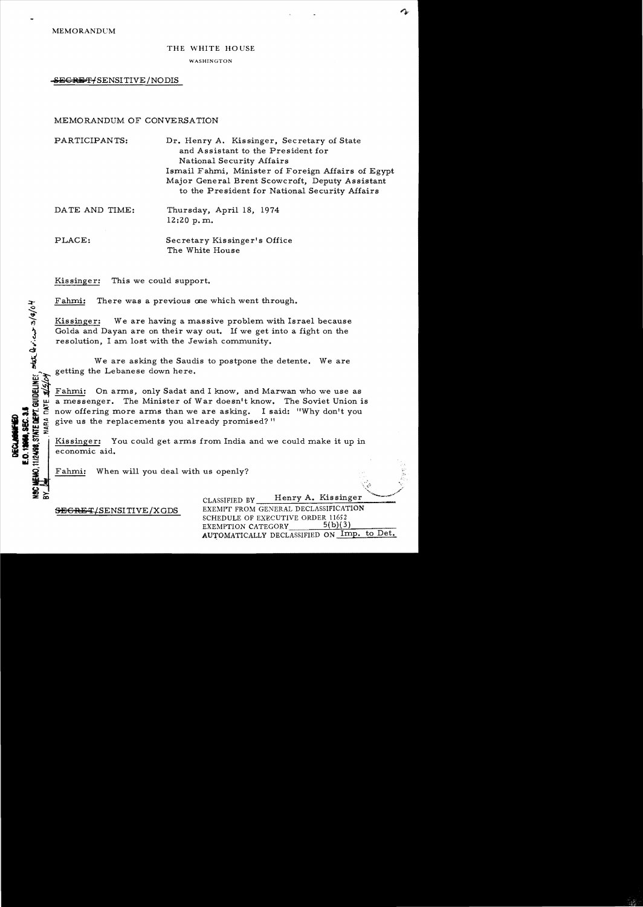MEMORANDUM

# THE WHITE HOUSE

WASHINGTON

-SEGRETYSENSITIVE/NODIS

#### MEMORANDUM OF CONVERSATION

PARTICIPANTS: Dr. Henry A. Kissinger, Secretary of State and Assistant to the President for National Security Affairs Ismail Fahmi, Minister of Foreign Affairs of Egypt Major General Brent Scowcroft, Deputy Assistant to the President for National Security Affairs

|  | DATE AND TIME: | Thursday, April 18, 1974 |  |  |
|--|----------------|--------------------------|--|--|
|  |                | 12:20 p.m.               |  |  |
|  |                |                          |  |  |

## PLACE: Secretary Kissinger's Office The White House

Kissinger: This we could support.

 $\frac{1}{2}$ 

**IEMO, 11/2498, STATE DEPT. GUIDELINES** 

E.O.12068.SEC.3.

**RISIO** 

DATE.

Fahmi: There was a previous one which went through.

Kissinger: We are having a massive problem with Israel because Golda and Dayan are on their way out. If we get into a fight on the resolution, I am lost with the Jewish community.

We are asking the Saudis to postpone the detente. We are getting the Lebanese down here.

Fahmi: On arms, only Sadat and I know, and Marwan who we use as a messenger. The Minister of War doesn't know. The Soviet Union is now offering more arms than we are asking. I said: "Why don't you give us the replacements you already promised?"

Kissinger: You could get arms from India and we could make it up in economic aid.

Fahmi: When will you deal with us openly?

SEGRET/SENSITIVE/XGDS

CLASSIFIED BY Henry A. Kissinger EXEMPT FROM GENERAL DECLASSIFICATION SCHEDULE OF EXECUTIVE ORDER 11652 EXEMPTION CATEGORY 5(b)(3) AUTOMATICALLY DECLASSIFIED ON Imp. to Det.

 $\mathcal{C}^*_{\mathcal{C}^*}$  :  $\mathcal{C}^*_{\mathcal{C}^*}$ " /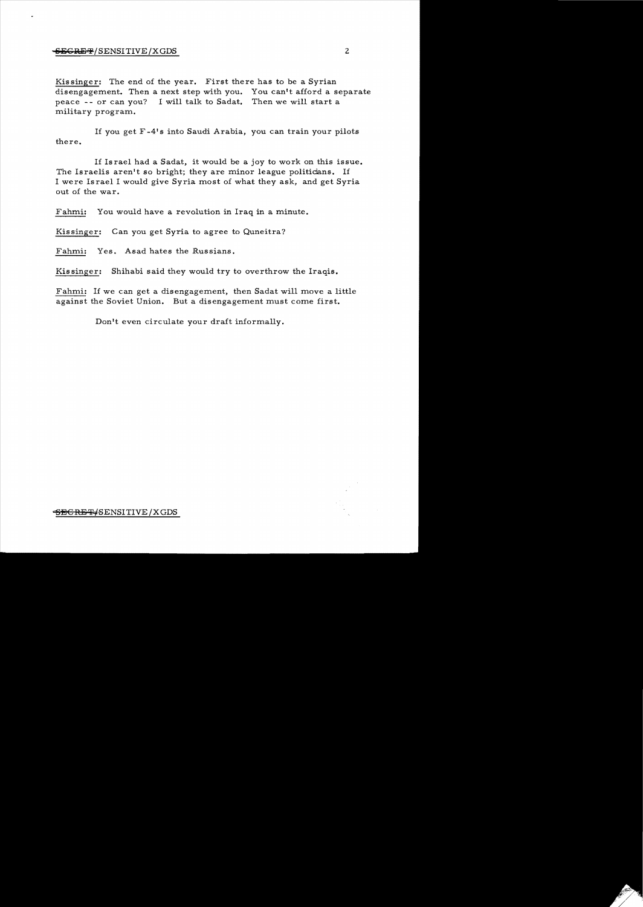#### external *I*SENSITIVE *X* GDS 2

Kissinger: The end of the year. First there has to be a Syrian disengagement. Then a next step with you. You can't afford a separate peace - or can you? I will talk to Sadat. Then we will start a military program.

1£ you get F -41 s into Saudi Arabia, you can train your pilots there.

If Israel had a Sadat, it would be a joy to work on this issue. The Israelis aren't so bright; they are minor league politicians. If I were Israel I would give Syria most of what they ask, and get Syria out of the war.

Fahmi: You would have a revolution in Iraq in a minute.

Kissinger: Can you get Syria to agree to Quneitra?

Fahmi: Yes. Asad hates the Russians.

Kissinger: Shihabi said they would try to overthrow the Iraqis.

Fahmi: If we can get a disengagement, then Sadat will move a little against the Soviet Union. But a disengagement must come first.

Don't even circulate your draft informally.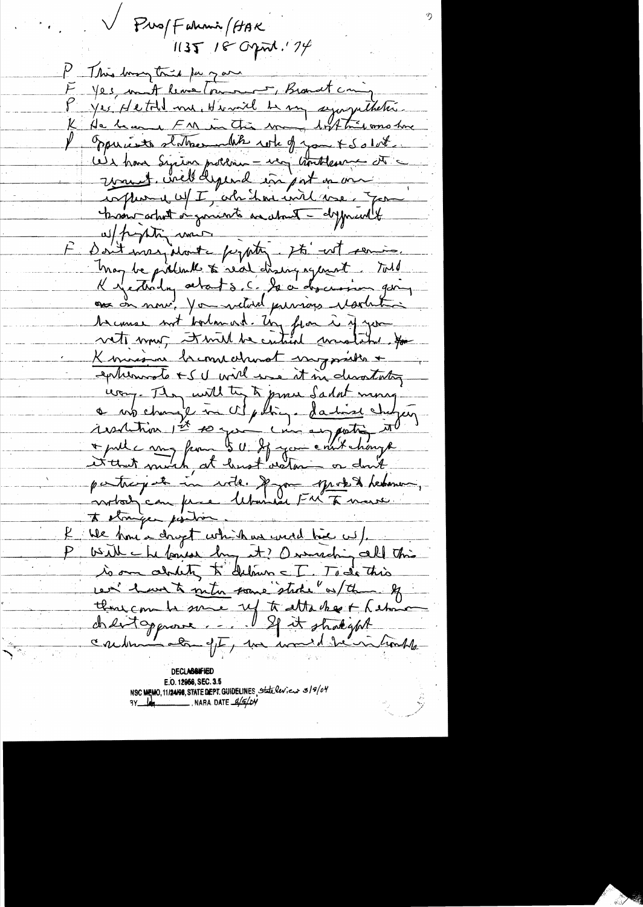V Pus/Fahmi /HAK  $1135$  18 Opm. 174 P This long tries pay you F yes, mont leme (ou nous Brandt coming Jes Hetold me, Himil 4 mg sympathetic K. Oppurente statementale which you + Solut We have Syrian polloin - very contressor at vous circle depend in pat on on confluence uf I, abidard und voe good promotorfut or gonerate and the dyposedt w/ propting more Don't inez, dont pepty. It's not coming. Tray be prélimite à real dising agement tots K yesterday alat s. C. le à descussion poing as on now, You withde privious Martinhois Saconse not borlomand. Un from à syson Kimisme bremischwat myssiber + exhems to IV will use it in desortating ury. They will the to prove Sadat mong motody can fince Utunia FM To marre to stranger position We have a drugt which we used him us). With chefaves by it? O marching all this is on about, to deliver = I. To do this cen have to note same stake of the of thousant some up to attacher + hetman<br>chertoggnome..... I spit strakischt caudin de ff, ma mond de numble **DECLABSIFIE** 

E.O. 12958, SEC. 3.5 NSC MEMO, 11/24/98, STATE DEPT. GUIDELINES State leview 3/9/04<br>3Y 14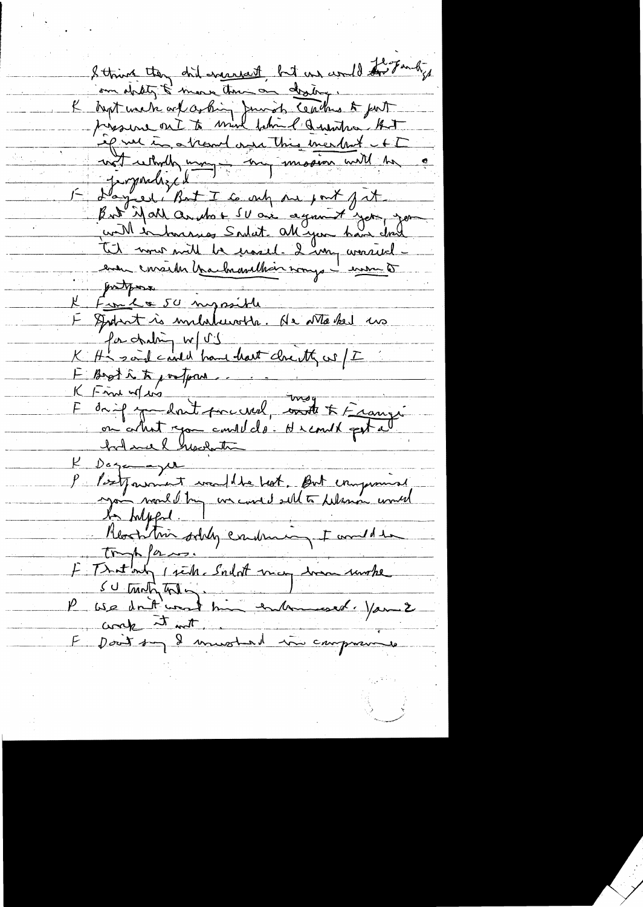I think they did engaged but un would to Fandy om didty & more tour on destre :<br>"Kapt werk ort certing Juniob Ceaches to put if we in a translave this meethof - FT und wholly many - my Layed But I to only one port fit potpos Familie 50 myssible I spokat à militaire de vitales us for chating w/ US K Ha said could have dont clouth as /I E Boot in to portom.  $K$  Fine where drif y dont preciel, ont & François<br>on colut you could do dremel petal  $K$  Dogamayer P Postparant vedlibe bot. But improved to helpful. Reachtin soldy conduction towned to trappen F Tratanty perhaps and may transmake SU traditions in the submission of your 2 E Dont sun 2 minuted une compranne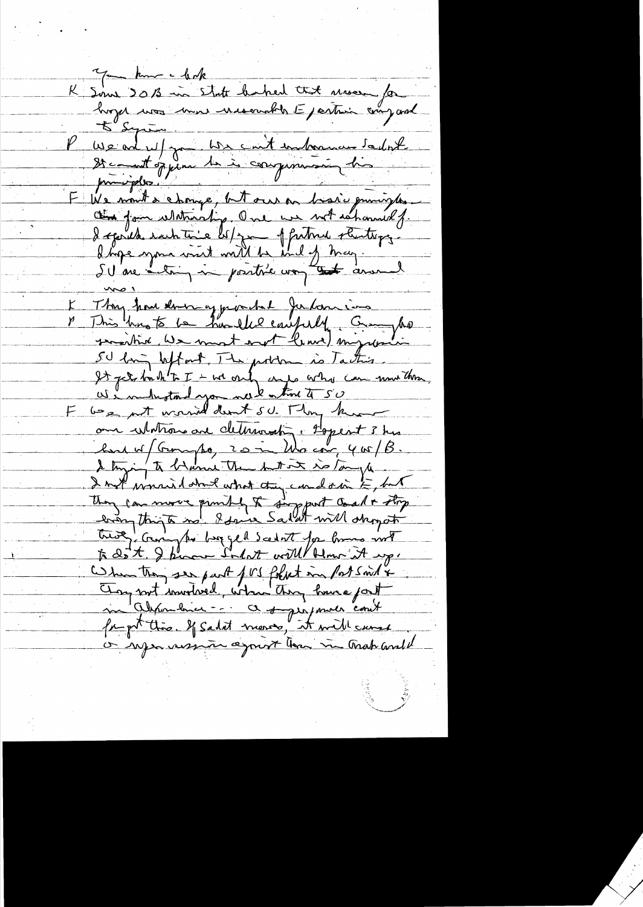K Sous 2013 in State baked that movem for P We are us for We cont internance sailont provides F We mont a change, but our on brasic environnement Thy how derning prochel Julanino This his to be hardled caupely Crayho SU long beffort. The problem is Taction. It get birthtat - we only any or has can more than. We industand you not time to 50 our Wintrow are determined : Hopert 3 hrs but w/ Garypa, 20 in Wacon, 400/B. I trying to be wind them but it is tonyle. I mit wonnied about what they cando in E, but They can move punkly & support coal + they<br>been think no. I sawe Sailet will shop other Commentery see part fors fortet in Possind & Any nort invitared, when they have past or reponsession against them in track and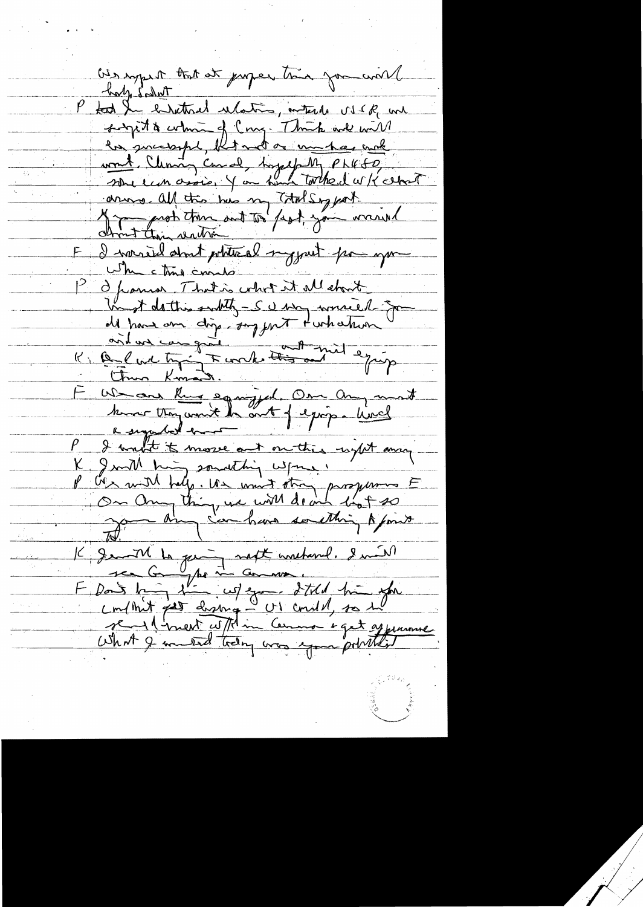bes royant that at jurger time for world holy Salut P took the entired ulation, ontark us IR and siget & which of Cong. Think we will la successful, but not as monted make wont Clemin Comal, hopefully Phil 60 drives all this his my Total Siggest. E I warred about potette al my put pour you where this counts Openior That is what it all chost Un of dathis subtly - SU was worsed for Al hand am dig suggest turkature of I want it more out outlies until any K good his something where. P C'es mill help. Un unit stra prosperont F<br>On Any thing we will do not so I grant to geing north watter ? will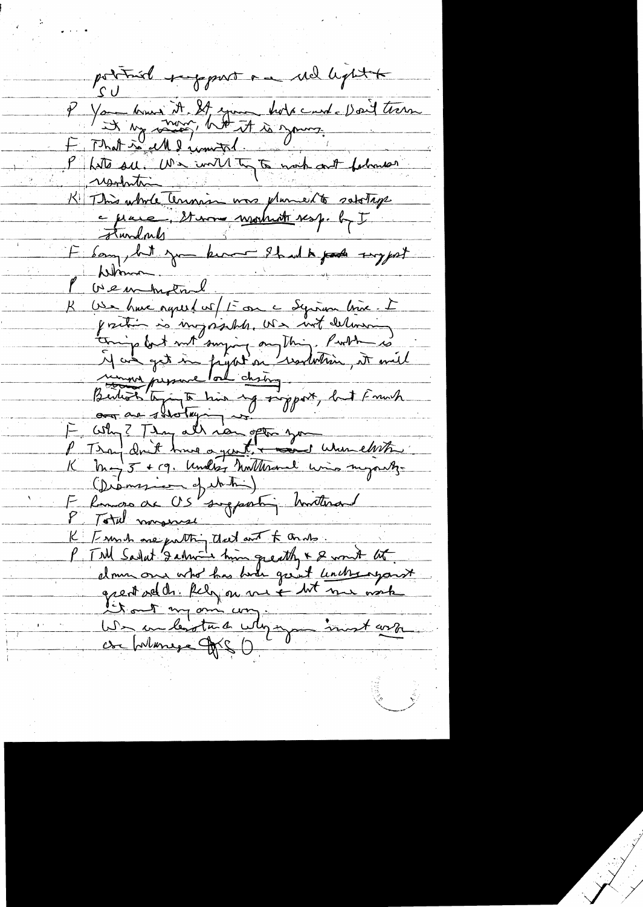pottiel respont au rel light P You know it It you hold can't Doit tren resolution K This whole Cennis was planette satellige F Som, but you know 8h wh pade suggest Whenon P (1) en have agreed will to on a system line. I<br>B (1) a have agreed will to one a system line. I<br>forming but not sony and his with deliverent<br>The get in fugation would not much the<br>Button of the sympathy of support, but F We inhighand. (Diamesien of the ) E Remois de US suggestin Mitterand K [ sun to one putting that and f ands. P. T.M Sarlat 's about him greatly & & won't lit. donne our who has lunch great unche against Vitout ma m'autres une investigation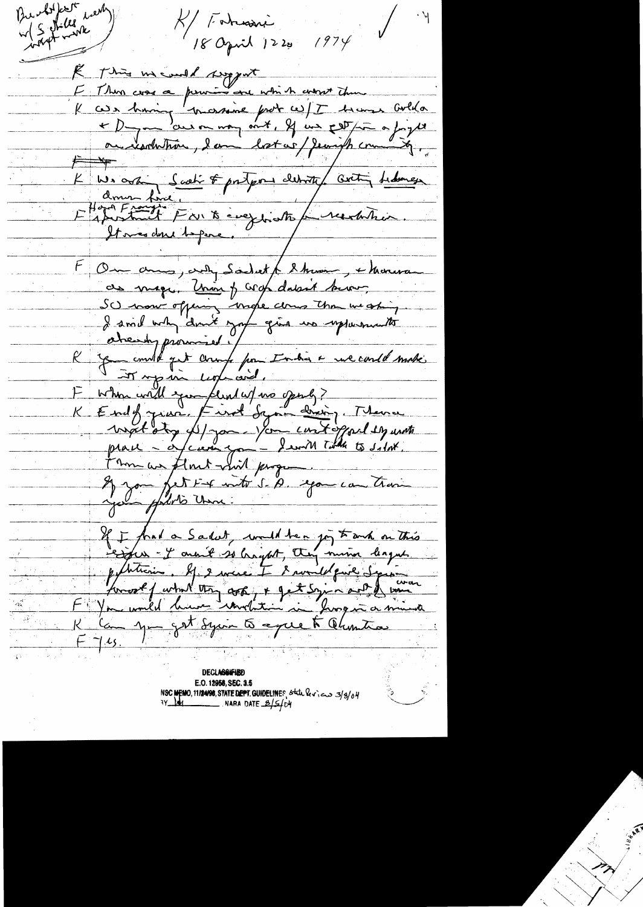Bundolptet new K/ Faturai 18 april 1220 1974 Re this meand support E Thin cross a privit and which what there K casa having mossime prot ce / I bremar colla ou resolution, lam lost us/ Jeangt com  $\overleftarrow{F}$ K We arthur Scrati & protegous detroite aveting tedernesse Homte Frank Park exegerates pu recentrir. F Ou amo, and Sadret & Moon, & Monera as mage. Unin of crop datant buon SC mow offering make comes than weaking. I smil why don't got give us upportunits aheady promised. / 10 - 10 mil 10 mil 10 mil It up in Legencial. F when will you fend w/ no openly?<br>K End of your, Find Symmetry Theme If you fet test inte S. A. you can train If I frank a Sakat, would be a joy to anche on this politicien. Il 2 mars I 8 mondelprie Syrie Konost f what they cook, + get syin aut de bonne K Can you get Syrin to excee to Chuntia

**DECLASSIFIED** E.O. 12956, SEC. 3.5 NSC MEMO, 11/24/98, STATE DEPT. GUIDELINES, state levices 3/3/04  $\_$  . Nara Date  $\_2$ /S/cm